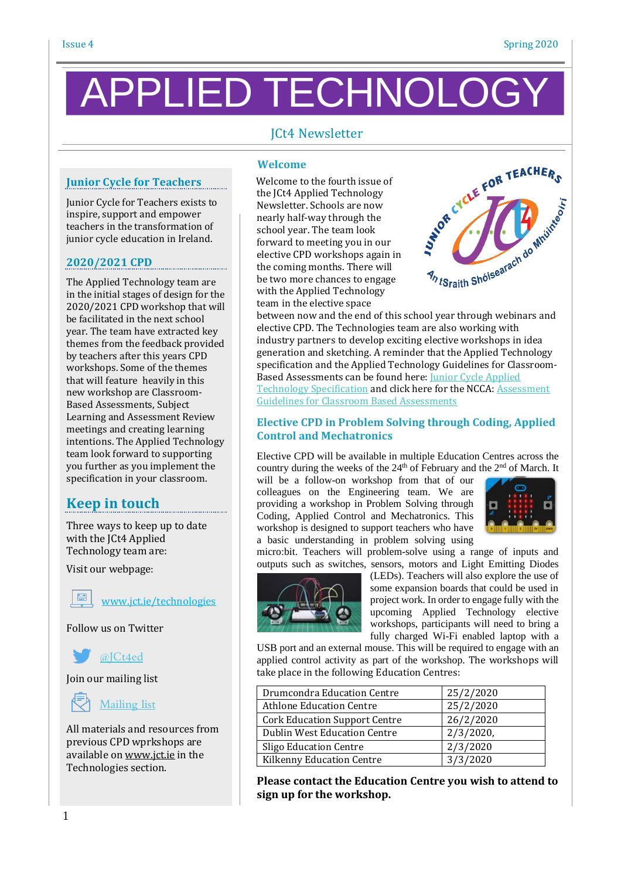# PPLIED TECHNOLC

# JCt4 Newsletter

### **Junior Cycle for Teachers**

Junior Cycle for Teachers exists to inspire, support and empower teachers in the transformation of junior cycle education in Ireland.

#### **2020/2021 CPD**

The Applied Technology team are in the initial stages of design for the 2020/2021 CPD workshop that will be facilitated in the next school year. The team have extracted key themes from the feedback provided by teachers after this years CPD workshops. Some of the themes that will feature heavily in this new workshop are Classroom-Based Assessments, Subject Learning and Assessment Review meetings and creating learning intentions. The Applied Technology team look forward to supporting you further as you implement the specification in your classroom.

# **Keep in touch**

Three ways to keep up to date with the JCt4 Applied Technology team are:

Visit our webpage:

[www.jct.ie/technologies](http://www.jct.ie/technologies)

Follow us on Twitter



Join our mailing list

### [Mailing](https://docs.google.com/forms/d/1Qy2bpfqL6a5-k-qMYT_MtP0NL0oxLNUZKlxq1hI_gzY/viewform?usp=drive_open&edit_requested=true) list

All materials and resources from previous CPD wprkshops are available on [www.jct.ie](http://www.jct.ie/) in the Technologies section.

#### **Welcome**

 Welcome to the fourth issue of the JCt4 Applied Technology Newsletter. Schools are now nearly half-way through the school year. The team look forward to meeting you in our elective CPD workshops again in the coming months. There will be two more chances to engage with the Applied Technology team in the elective space between now and the end of this school year through webinars and between now and the end of this school year through webinars and



elective CPD. The Technologies team are also working with industry partners to develop exciting elective workshops in idea generation and sketching. A reminder that the Applied Technology specification and the Applied Technology Guidelines for Classroom-Based Assessments can be found here: Junior Cycle [Applied](https://www.curriculumonline.ie/getmedia/2c3fc3c0-064c-4080-980e-a2738512b85b/Applied-Technology.pdf) Technology [Specification](https://www.curriculumonline.ie/getmedia/2c3fc3c0-064c-4080-980e-a2738512b85b/Applied-Technology.pdf) and click here for the NCCA: [Assessment](https://www.curriculumonline.ie/getmedia/07aba039-b0df-4612-a071-8e225ae71977/Applied-Technology-AG.pdf) [Guidelines](https://www.curriculumonline.ie/getmedia/07aba039-b0df-4612-a071-8e225ae71977/Applied-Technology-AG.pdf) for Classroom Based Assessments

#### **Elective CPD in Problem Solving through Coding, Applied Control and Mechatronics**

Elective CPD will be available in multiple Education Centres across the country during the weeks of the  $24<sup>th</sup>$  of February and the  $2<sup>nd</sup>$  of March. It

will be a follow-on workshop from that of our colleagues on the Engineering team. We are providing a workshop in Problem Solving through Coding, Applied Control and Mechatronics. This workshop is designed to support teachers who have a basic understanding in problem solving using



micro:bit. Teachers will problem-solve using a range of inputs and outputs such as switches, sensors, motors and Light Emitting Diodes



(LEDs). Teachers will also explore the use of some expansion boards that could be used in project work*.* In order to engage fully with the upcoming Applied Technology elective workshops, participants will need to bring a fully charged Wi-Fi enabled laptop with a

USB port and an external mouse. This will be required to engage with an applied control activity as part of the workshop. The workshops will take place in the following Education Centres:

| Drumcondra Education Centre          | 25/2/2020    |
|--------------------------------------|--------------|
| <b>Athlone Education Centre</b>      | 25/2/2020    |
| <b>Cork Education Support Centre</b> | 26/2/2020    |
| <b>Dublin West Education Centre</b>  | $2/3/2020$ , |
| <b>Sligo Education Centre</b>        | 2/3/2020     |
| Kilkenny Education Centre            | 3/3/2020     |

**Please contact the Education Centre you wish to attend to sign up for the workshop.**